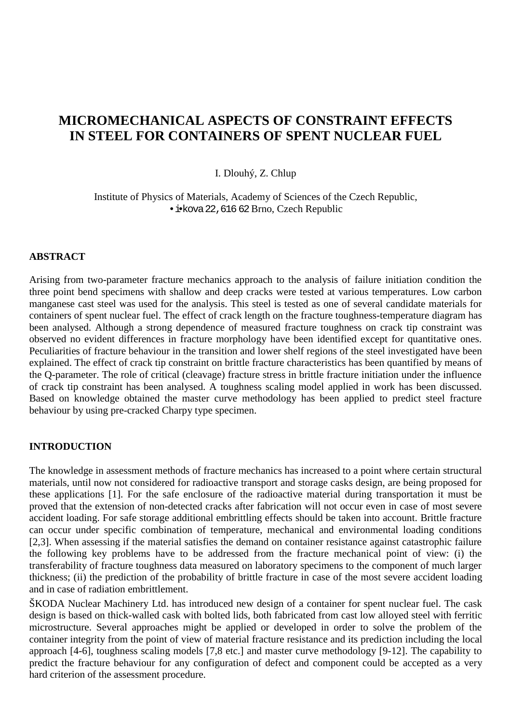# **MICROMECHANICAL ASPECTS OF CONSTRAINT EFFECTS IN STEEL FOR CONTAINERS OF SPENT NUCLEAR FUEL**

I. Dlouhý, Z. Chlup

Institute of Physics of Materials, Academy of Sciences of the Czech Republic, •i•kova 22,616 62 Brno, Czech Republic

#### **ABSTRACT**

Arising from two-parameter fracture mechanics approach to the analysis of failure initiation condition the three point bend specimens with shallow and deep cracks were tested at various temperatures. Low carbon manganese cast steel was used for the analysis. This steel is tested as one of several candidate materials for containers of spent nuclear fuel. The effect of crack length on the fracture toughness-temperature diagram has been analysed. Although a strong dependence of measured fracture toughness on crack tip constraint was observed no evident differences in fracture morphology have been identified except for quantitative ones. Peculiarities of fracture behaviour in the transition and lower shelf regions of the steel investigated have been explained. The effect of crack tip constraint on brittle fracture characteristics has been quantified by means of the Q-parameter. The role of critical (cleavage) fracture stress in brittle fracture initiation under the influence of crack tip constraint has been analysed. A toughness scaling model applied in work has been discussed. Based on knowledge obtained the master curve methodology has been applied to predict steel fracture behaviour by using pre-cracked Charpy type specimen.

#### **INTRODUCTION**

The knowledge in assessment methods of fracture mechanics has increased to a point where certain structural materials, until now not considered for radioactive transport and storage casks design, are being proposed for these applications [1]. For the safe enclosure of the radioactive material during transportation it must be proved that the extension of non-detected cracks after fabrication will not occur even in case of most severe accident loading. For safe storage additional embrittling effects should be taken into account. Brittle fracture can occur under specific combination of temperature, mechanical and environmental loading conditions [2,3]. When assessing if the material satisfies the demand on container resistance against catastrophic failure the following key problems have to be addressed from the fracture mechanical point of view: (i) the transferability of fracture toughness data measured on laboratory specimens to the component of much larger thickness; (ii) the prediction of the probability of brittle fracture in case of the most severe accident loading and in case of radiation embrittlement.

ŠKODA Nuclear Machinery Ltd. has introduced new design of a container for spent nuclear fuel. The cask design is based on thick-walled cask with bolted lids, both fabricated from cast low alloyed steel with ferritic microstructure. Several approaches might be applied or developed in order to solve the problem of the container integrity from the point of view of material fracture resistance and its prediction including the local approach [4-6], toughness scaling models [7,8 etc.] and master curve methodology [9-12]. The capability to predict the fracture behaviour for any configuration of defect and component could be accepted as a very hard criterion of the assessment procedure.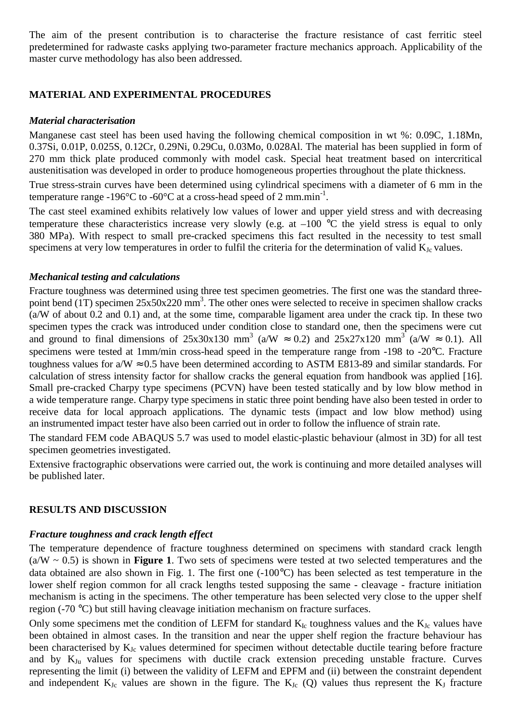The aim of the present contribution is to characterise the fracture resistance of cast ferritic steel predetermined for radwaste casks applying two-parameter fracture mechanics approach. Applicability of the master curve methodology has also been addressed.

## **MATERIAL AND EXPERIMENTAL PROCEDURES**

#### *Material characterisation*

Manganese cast steel has been used having the following chemical composition in wt %: 0.09C, 1.18Mn, 0.37Si, 0.01P, 0.025S, 0.12Cr, 0.29Ni, 0.29Cu, 0.03Mo, 0.028Al. The material has been supplied in form of 270 mm thick plate produced commonly with model cask. Special heat treatment based on intercritical austenitisation was developed in order to produce homogeneous properties throughout the plate thickness.

True stress-strain curves have been determined using cylindrical specimens with a diameter of 6 mm in the temperature range -196 $\degree$ C to -60 $\degree$ C at a cross-head speed of 2 mm.min<sup>-1</sup>.

The cast steel examined exhibits relatively low values of lower and upper yield stress and with decreasing temperature these characteristics increase very slowly (e.g. at  $-100$  °C the yield stress is equal to only 380 MPa). With respect to small pre-cracked specimens this fact resulted in the necessity to test small specimens at very low temperatures in order to fulfil the criteria for the determination of valid  $K_{Jc}$  values.

#### *Mechanical testing and calculations*

Fracture toughness was determined using three test specimen geometries. The first one was the standard threepoint bend (1T) specimen 25x50x220 mm<sup>3</sup>. The other ones were selected to receive in specimen shallow cracks (a/W of about 0.2 and 0.1) and, at the some time, comparable ligament area under the crack tip. In these two specimen types the crack was introduced under condition close to standard one, then the specimens were cut and ground to final dimensions of  $25x30x130$  mm<sup>3</sup> (a/W  $\approx 0.2$ ) and  $25x27x120$  mm<sup>3</sup> (a/W  $\approx 0.1$ ). All specimens were tested at 1mm/min cross-head speed in the temperature range from -198 to -20°C. Fracture toughness values for  $a/W \approx 0.5$  have been determined according to ASTM E813-89 and similar standards. For calculation of stress intensity factor for shallow cracks the general equation from handbook was applied [16]. Small pre-cracked Charpy type specimens (PCVN) have been tested statically and by low blow method in a wide temperature range. Charpy type specimens in static three point bending have also been tested in order to receive data for local approach applications. The dynamic tests (impact and low blow method) using an instrumented impact tester have also been carried out in order to follow the influence of strain rate.

The standard FEM code ABAQUS 5.7 was used to model elastic-plastic behaviour (almost in 3D) for all test specimen geometries investigated.

Extensive fractographic observations were carried out, the work is continuing and more detailed analyses will be published later.

#### **RESULTS AND DISCUSSION**

#### *Fracture toughness and crack length effect*

The temperature dependence of fracture toughness determined on specimens with standard crack length (a/W ~ 0.5) is shown in **Figure 1**. Two sets of specimens were tested at two selected temperatures and the data obtained are also shown in Fig. 1. The first one (-100°C) has been selected as test temperature in the lower shelf region common for all crack lengths tested supposing the same - cleavage - fracture initiation mechanism is acting in the specimens. The other temperature has been selected very close to the upper shelf region (-70 °C) but still having cleavage initiation mechanism on fracture surfaces.

Only some specimens met the condition of LEFM for standard  $K_{Ic}$  toughness values and the  $K_{Jc}$  values have been obtained in almost cases. In the transition and near the upper shelf region the fracture behaviour has been characterised by  $K_{Ic}$  values determined for specimen without detectable ductile tearing before fracture and by K<sub>Ju</sub> values for specimens with ductile crack extension preceding unstable fracture. Curves representing the limit (i) between the validity of LEFM and EPFM and (ii) between the constraint dependent and independent  $K_{Jc}$  values are shown in the figure. The  $K_{Jc}$  (Q) values thus represent the  $K_{J}$  fracture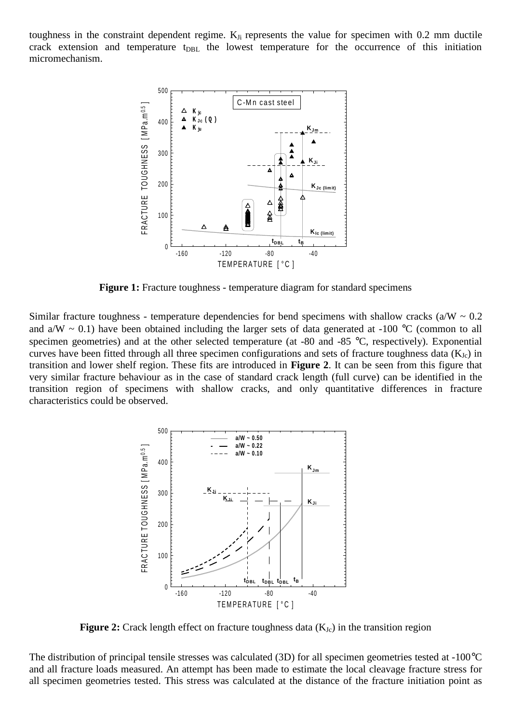toughness in the constraint dependent regime.  $K_{Ji}$  represents the value for specimen with 0.2 mm ductile crack extension and temperature  $t_{DBL}$  the lowest temperature for the occurrence of this initiation micromechanism.



**Figure 1:** Fracture toughness - temperature diagram for standard specimens

Similar fracture toughness - temperature dependencies for bend specimens with shallow cracks ( $a/W \sim 0.2$ ) and  $a/W \sim 0.1$ ) have been obtained including the larger sets of data generated at -100 °C (common to all specimen geometries) and at the other selected temperature (at -80 and -85 °C, respectively). Exponential curves have been fitted through all three specimen configurations and sets of fracture toughness data ( $K<sub>Ic</sub>$ ) in transition and lower shelf region. These fits are introduced in **Figure 2**. It can be seen from this figure that very similar fracture behaviour as in the case of standard crack length (full curve) can be identified in the transition region of specimens with shallow cracks, and only quantitative differences in fracture characteristics could be observed.



**Figure 2:** Crack length effect on fracture toughness data  $(K<sub>Jc</sub>)$  in the transition region

The distribution of principal tensile stresses was calculated (3D) for all specimen geometries tested at -100°C and all fracture loads measured. An attempt has been made to estimate the local cleavage fracture stress for all specimen geometries tested. This stress was calculated at the distance of the fracture initiation point as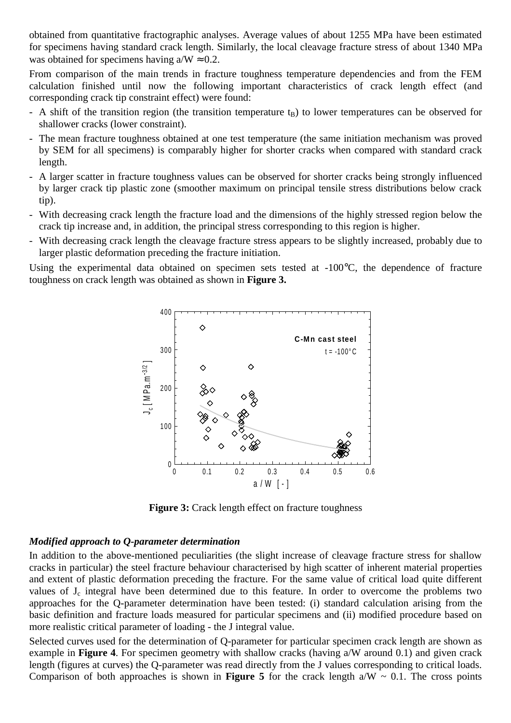obtained from quantitative fractographic analyses. Average values of about 1255 MPa have been estimated for specimens having standard crack length. Similarly, the local cleavage fracture stress of about 1340 MPa was obtained for specimens having  $a/W \approx 0.2$ .

From comparison of the main trends in fracture toughness temperature dependencies and from the FEM calculation finished until now the following important characteristics of crack length effect (and corresponding crack tip constraint effect) were found:

- A shift of the transition region (the transition temperature  $t_B$ ) to lower temperatures can be observed for shallower cracks (lower constraint).
- The mean fracture toughness obtained at one test temperature (the same initiation mechanism was proved by SEM for all specimens) is comparably higher for shorter cracks when compared with standard crack length.
- A larger scatter in fracture toughness values can be observed for shorter cracks being strongly influenced by larger crack tip plastic zone (smoother maximum on principal tensile stress distributions below crack tip).
- With decreasing crack length the fracture load and the dimensions of the highly stressed region below the crack tip increase and, in addition, the principal stress corresponding to this region is higher.
- With decreasing crack length the cleavage fracture stress appears to be slightly increased, probably due to larger plastic deformation preceding the fracture initiation.

Using the experimental data obtained on specimen sets tested at -100<sup>o</sup>C, the dependence of fracture toughness on crack length was obtained as shown in **Figure 3.**



**Figure 3:** Crack length effect on fracture toughness

#### *Modified approach to Q-parameter determination*

In addition to the above-mentioned peculiarities (the slight increase of cleavage fracture stress for shallow cracks in particular) the steel fracture behaviour characterised by high scatter of inherent material properties and extent of plastic deformation preceding the fracture. For the same value of critical load quite different values of J<sub>c</sub> integral have been determined due to this feature. In order to overcome the problems two approaches for the Q-parameter determination have been tested: (i) standard calculation arising from the basic definition and fracture loads measured for particular specimens and (ii) modified procedure based on more realistic critical parameter of loading - the J integral value.

Selected curves used for the determination of Q-parameter for particular specimen crack length are shown as example in **Figure 4**. For specimen geometry with shallow cracks (having a/W around 0.1) and given crack length (figures at curves) the Q-parameter was read directly from the J values corresponding to critical loads. Comparison of both approaches is shown in **Figure 5** for the crack length  $a/W \sim 0.1$ . The cross points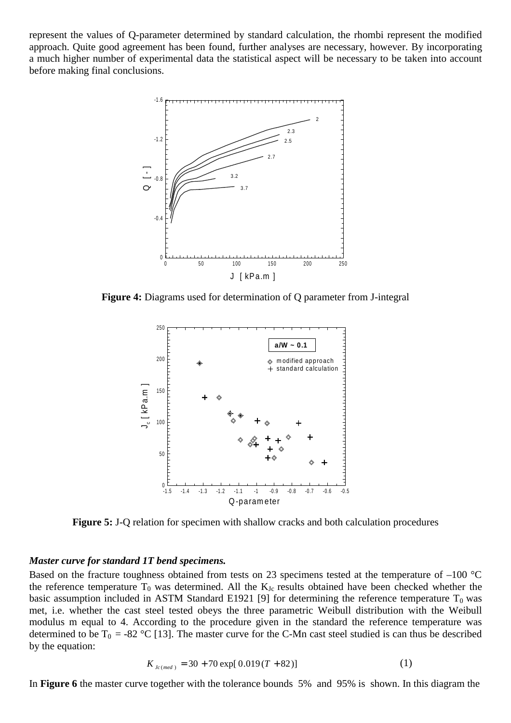represent the values of Q-parameter determined by standard calculation, the rhombi represent the modified approach. Quite good agreement has been found, further analyses are necessary, however. By incorporating a much higher number of experimental data the statistical aspect will be necessary to be taken into account before making final conclusions.



**Figure 4:** Diagrams used for determination of Q parameter from J-integral



**Figure 5:** J-Q relation for specimen with shallow cracks and both calculation procedures

### *Master curve for standard 1T bend specimens.*

Based on the fracture toughness obtained from tests on 23 specimens tested at the temperature of  $-100$  °C the reference temperature  $T_0$  was determined. All the  $K_{Ic}$  results obtained have been checked whether the basic assumption included in ASTM Standard E1921 [9] for determining the reference temperature  $T_0$  was met, i.e. whether the cast steel tested obeys the three parametric Weibull distribution with the Weibull modulus m equal to 4. According to the procedure given in the standard the reference temperature was determined to be  $T_0 = -82$  °C [13]. The master curve for the C-Mn cast steel studied is can thus be described by the equation:

$$
K_{Jc(med)} = 30 + 70 \exp[0.019(T + 82)] \tag{1}
$$

In **Figure 6** the master curve together with the tolerance bounds 5% and 95% is shown. In this diagram the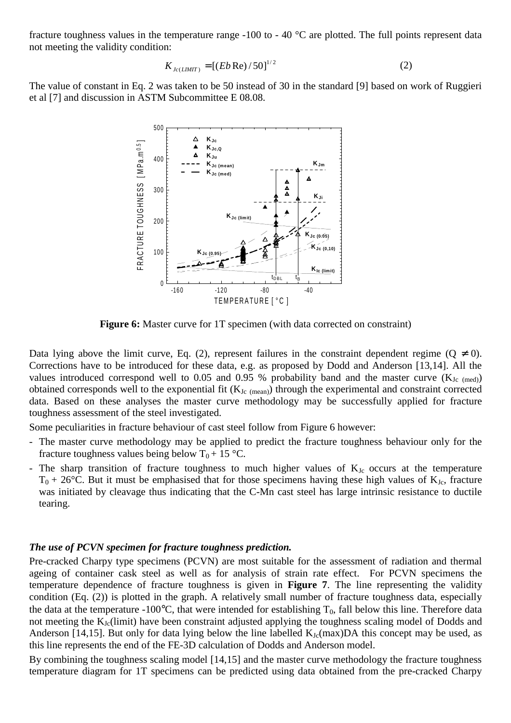fracture toughness values in the temperature range -100 to - 40 °C are plotted. The full points represent data not meeting the validity condition:

$$
K_{Jc(LIMIT)} = [(Eb \text{ Re})/50]^{1/2} \tag{2}
$$

The value of constant in Eq. 2 was taken to be 50 instead of 30 in the standard [9] based on work of Ruggieri et al [7] and discussion in ASTM Subcommittee E 08.08.



**Figure 6:** Master curve for 1T specimen (with data corrected on constraint)

Data lying above the limit curve, Eq. (2), represent failures in the constraint dependent regime ( $Q \neq 0$ ). Corrections have to be introduced for these data, e.g. as proposed by Dodd and Anderson [13,14]. All the values introduced correspond well to 0.05 and 0.95 % probability band and the master curve  $(K_{Jc \ (med)})$ obtained corresponds well to the exponential fit  $(K_{Jc \text{ (mean)}})$  through the experimental and constraint corrected data. Based on these analyses the master curve methodology may be successfully applied for fracture toughness assessment of the steel investigated.

Some peculiarities in fracture behaviour of cast steel follow from Figure 6 however:

- The master curve methodology may be applied to predict the fracture toughness behaviour only for the fracture toughness values being below  $T_0 + 15$  °C.
- The sharp transition of fracture toughness to much higher values of  $K<sub>Jc</sub>$  occurs at the temperature  $T_0 + 26$ °C. But it must be emphasised that for those specimens having these high values of  $K_{Jc}$ , fracture was initiated by cleavage thus indicating that the C-Mn cast steel has large intrinsic resistance to ductile tearing.

#### *The use of PCVN specimen for fracture toughness prediction.*

Pre-cracked Charpy type specimens (PCVN) are most suitable for the assessment of radiation and thermal ageing of container cask steel as well as for analysis of strain rate effect. For PCVN specimens the temperature dependence of fracture toughness is given in **Figure 7**. The line representing the validity condition (Eq. (2)) is plotted in the graph. A relatively small number of fracture toughness data, especially the data at the temperature -100 $^{\circ}$ C, that were intended for establishing  $T_0$ , fall below this line. Therefore data not meeting the K<sub>Jc</sub>(limit) have been constraint adjusted applying the toughness scaling model of Dodds and Anderson [14,15]. But only for data lying below the line labelled  $K_{\text{Jc}}(\text{max})$ DA this concept may be used, as this line represents the end of the FE-3D calculation of Dodds and Anderson model.

By combining the toughness scaling model [14,15] and the master curve methodology the fracture toughness temperature diagram for 1T specimens can be predicted using data obtained from the pre-cracked Charpy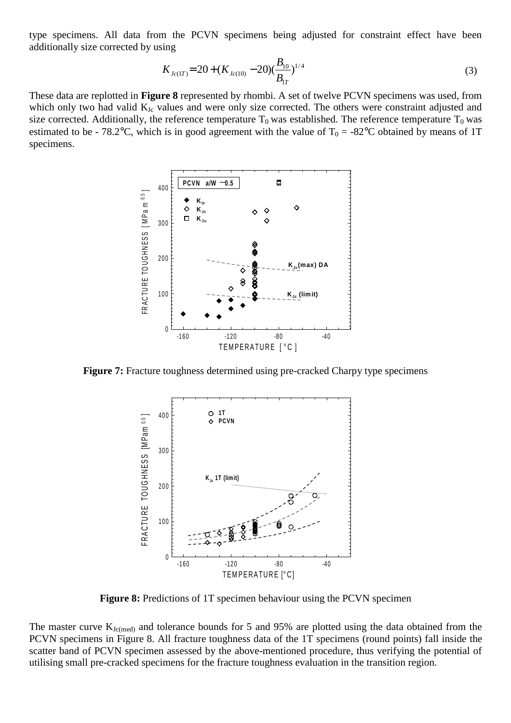type specimens. All data from the PCVN specimens being adjusted for constraint effect have been additionally size corrected by using

$$
K_{Jc(1T)} = 20 + (K_{Jc(10)} - 20)(\frac{B_{10}}{B_{1T}})^{1/4}
$$
\n(3)

These data are replotted in **Figure 8** represented by rhombi. A set of twelve PCVN specimens was used, from which only two had valid K<sub>Jc</sub> values and were only size corrected. The others were constraint adjusted and size corrected. Additionally, the reference temperature  $T_0$  was established. The reference temperature  $T_0$  was estimated to be - 78.2°C, which is in good agreement with the value of  $T_0 = -82$ °C obtained by means of 1T specimens.



**Figure 7:** Fracture toughness determined using pre-cracked Charpy type specimens



**Figure 8:** Predictions of 1T specimen behaviour using the PCVN specimen

The master curve  $K_{Jc(med)}$  and tolerance bounds for 5 and 95% are plotted using the data obtained from the PCVN specimens in Figure 8. All fracture toughness data of the 1T specimens (round points) fall inside the scatter band of PCVN specimen assessed by the above-mentioned procedure, thus verifying the potential of utilising small pre-cracked specimens for the fracture toughness evaluation in the transition region.